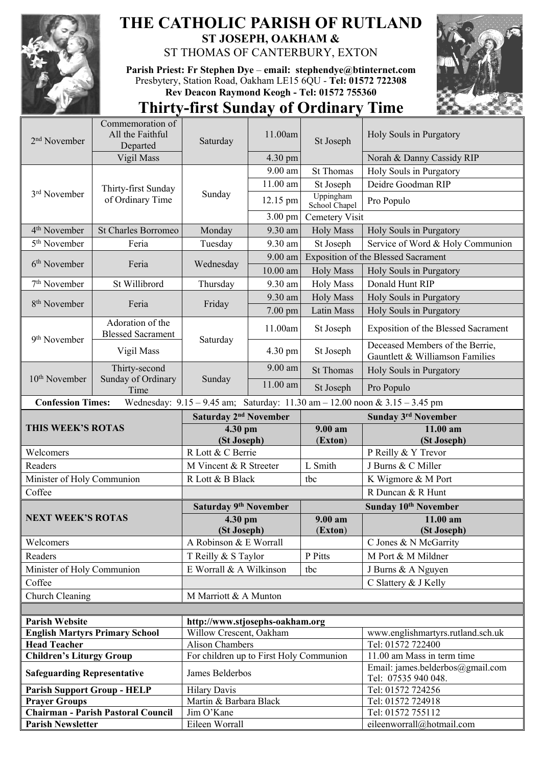

## **THE CATHOLIC PARISH OF RUTLAND ST JOSEPH, OAKHAM &**  ST THOMAS OF CANTERBURY, EXTON

**Parish Priest: Fr Stephen Dye** – **[email: stephendye@btinternet.com](mailto:email:%20%20stephendye@btinternet.com)** Presbytery, Station Road, Oakham LE15 6QU - **Tel: 01572 722308 Rev Deacon Raymond Keogh - Tel: 01572 755360**



## **Thirty-first Sunday of Ordinary Time**

| 2 <sup>nd</sup> November           | Commemoration of<br>All the Faithful<br>Departed | Saturday                                | 11.00am    | St Joseph                  | Holy Souls in Purgatory                                                     |
|------------------------------------|--------------------------------------------------|-----------------------------------------|------------|----------------------------|-----------------------------------------------------------------------------|
|                                    | Vigil Mass                                       |                                         | 4.30 pm    |                            | Norah & Danny Cassidy RIP                                                   |
| 3rd November                       | Thirty-first Sunday<br>of Ordinary Time          | Sunday                                  | 9.00 am    | <b>St Thomas</b>           | Holy Souls in Purgatory                                                     |
|                                    |                                                  |                                         | $11.00$ am | St Joseph                  | Deidre Goodman RIP                                                          |
|                                    |                                                  |                                         | 12.15 pm   | Uppingham<br>School Chapel | Pro Populo                                                                  |
|                                    |                                                  |                                         | 3.00 pm    | Cemetery Visit             |                                                                             |
| 4 <sup>th</sup> November           | <b>St Charles Borromeo</b>                       | Monday                                  | 9.30 am    | <b>Holy Mass</b>           | Holy Souls in Purgatory                                                     |
| 5 <sup>th</sup> November           | Feria                                            | Tuesday                                 | 9.30 am    | St Joseph                  | Service of Word & Holy Communion                                            |
| 6 <sup>th</sup> November           | Feria                                            | Wednesday                               | $9.00$ am  |                            | <b>Exposition of the Blessed Sacrament</b>                                  |
|                                    |                                                  |                                         | $10.00$ am | <b>Holy Mass</b>           | Holy Souls in Purgatory                                                     |
| 7 <sup>th</sup> November           | St Willibrord                                    | Thursday                                | 9.30 am    | <b>Holy Mass</b>           | Donald Hunt RIP                                                             |
| 8 <sup>th</sup> November           | Feria                                            | Friday                                  | 9.30 am    | <b>Holy Mass</b>           | Holy Souls in Purgatory                                                     |
|                                    |                                                  |                                         | $7.00$ pm  | Latin Mass                 | Holy Souls in Purgatory                                                     |
| 9 <sup>th</sup> November           | Adoration of the<br><b>Blessed Sacrament</b>     | Saturday                                | 11.00am    | St Joseph                  | Exposition of the Blessed Sacrament                                         |
|                                    | Vigil Mass                                       |                                         | 4.30 pm    | St Joseph                  | Deceased Members of the Berrie,<br>Gauntlett & Williamson Families          |
|                                    | Thirty-second<br>Sunday of Ordinary<br>Time      | Sunday                                  | 9.00 am    | <b>St Thomas</b>           | Holy Souls in Purgatory                                                     |
| 10 <sup>th</sup> November          |                                                  |                                         | 11.00 am   | St Joseph                  | Pro Populo                                                                  |
| <b>Confession Times:</b>           |                                                  |                                         |            |                            | Wednesday: 9.15 - 9.45 am; Saturday: 11.30 am - 12.00 noon & 3.15 - 3.45 pm |
|                                    |                                                  | Saturday 2 <sup>nd</sup> November       |            |                            | Sunday 3rd November                                                         |
|                                    |                                                  |                                         |            |                            |                                                                             |
| THIS WEEK'S ROTAS                  |                                                  | 4.30 pm                                 |            | 9.00 am                    | $11.00$ am                                                                  |
|                                    |                                                  | (St Joseph)                             |            | (Exton)                    | (St Joseph)                                                                 |
| Welcomers                          |                                                  | R Lott & C Berrie                       |            |                            | P Reilly & Y Trevor                                                         |
| Readers                            |                                                  | M Vincent & R Streeter                  |            | L Smith                    | J Burns & C Miller                                                          |
| Minister of Holy Communion         |                                                  | R Lott & B Black                        |            | tbc                        | K Wigmore & M Port                                                          |
| Coffee                             |                                                  |                                         |            |                            | R Duncan & R Hunt                                                           |
|                                    |                                                  | Saturday 9th November                   |            |                            | Sunday 10th November                                                        |
| <b>NEXT WEEK'S ROTAS</b>           |                                                  | 4.30 pm                                 |            | 9.00 am                    | 11.00 am                                                                    |
|                                    |                                                  | (St Joseph)                             |            | (Exton)                    | (St Joseph)                                                                 |
| Welcomers<br>Readers               |                                                  | A Robinson & E Worrall                  |            |                            | C Jones & N McGarrity<br>M Port & M Mildner                                 |
|                                    |                                                  | T Reilly & S Taylor                     |            | P Pitts                    |                                                                             |
| Minister of Holy Communion         |                                                  | E Worrall & A Wilkinson                 |            | tbc                        | J Burns & A Nguyen                                                          |
| Coffee                             |                                                  | M Marriott & A Munton                   |            |                            | C Slattery & J Kelly                                                        |
| Church Cleaning                    |                                                  |                                         |            |                            |                                                                             |
| <b>Parish Website</b>              |                                                  | http://www.stjosephs-oakham.org         |            |                            |                                                                             |
|                                    | <b>English Martyrs Primary School</b>            | Willow Crescent, Oakham                 |            |                            | www.englishmartyrs.rutland.sch.uk                                           |
| <b>Head Teacher</b>                |                                                  | <b>Alison Chambers</b>                  |            |                            | Tel: 01572 722400                                                           |
| <b>Children's Liturgy Group</b>    |                                                  | For children up to First Holy Communion |            |                            | 11.00 am Mass in term time                                                  |
| <b>Safeguarding Representative</b> |                                                  | James Belderbos                         |            |                            | Email: james.belderbos@gmail.com<br>Tel: 07535 940 048.                     |
| <b>Parish Support Group - HELP</b> |                                                  | <b>Hilary Davis</b>                     |            |                            | Tel: 01572 724256                                                           |
| <b>Prayer Groups</b>               |                                                  | Martin & Barbara Black                  |            |                            | Tel: 01572 724918                                                           |
| <b>Parish Newsletter</b>           | <b>Chairman - Parish Pastoral Council</b>        | Jim O'Kane<br>Eileen Worrall            |            |                            | Tel: 01572 755112<br>eileenworrall@hotmail.com                              |